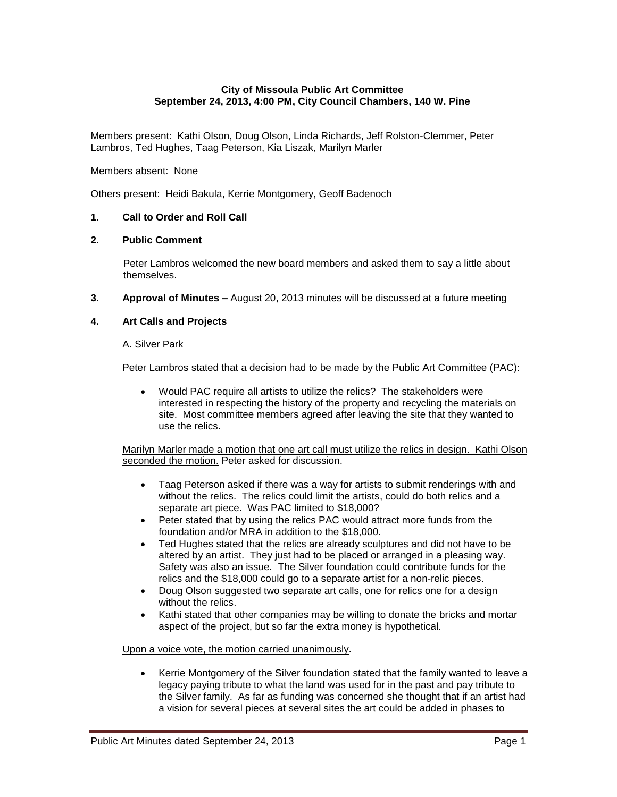## **City of Missoula Public Art Committee September 24, 2013, 4:00 PM, City Council Chambers, 140 W. Pine**

Members present: Kathi Olson, Doug Olson, Linda Richards, Jeff Rolston-Clemmer, Peter Lambros, Ted Hughes, Taag Peterson, Kia Liszak, Marilyn Marler

Members absent: None

Others present: Heidi Bakula, Kerrie Montgomery, Geoff Badenoch

# **1. Call to Order and Roll Call**

#### **2. Public Comment**

Peter Lambros welcomed the new board members and asked them to say a little about themselves.

**3. Approval of Minutes –** August 20, 2013 minutes will be discussed at a future meeting

#### **4. Art Calls and Projects**

A. Silver Park

Peter Lambros stated that a decision had to be made by the Public Art Committee (PAC):

 Would PAC require all artists to utilize the relics? The stakeholders were interested in respecting the history of the property and recycling the materials on site. Most committee members agreed after leaving the site that they wanted to use the relics.

Marilyn Marler made a motion that one art call must utilize the relics in design. Kathi Olson seconded the motion. Peter asked for discussion.

- Taag Peterson asked if there was a way for artists to submit renderings with and without the relics. The relics could limit the artists, could do both relics and a separate art piece. Was PAC limited to \$18,000?
- Peter stated that by using the relics PAC would attract more funds from the foundation and/or MRA in addition to the \$18,000.
- Ted Hughes stated that the relics are already sculptures and did not have to be altered by an artist. They just had to be placed or arranged in a pleasing way. Safety was also an issue. The Silver foundation could contribute funds for the relics and the \$18,000 could go to a separate artist for a non-relic pieces.
- Doug Olson suggested two separate art calls, one for relics one for a design without the relics.
- Kathi stated that other companies may be willing to donate the bricks and mortar aspect of the project, but so far the extra money is hypothetical.

Upon a voice vote, the motion carried unanimously.

 Kerrie Montgomery of the Silver foundation stated that the family wanted to leave a legacy paying tribute to what the land was used for in the past and pay tribute to the Silver family. As far as funding was concerned she thought that if an artist had a vision for several pieces at several sites the art could be added in phases to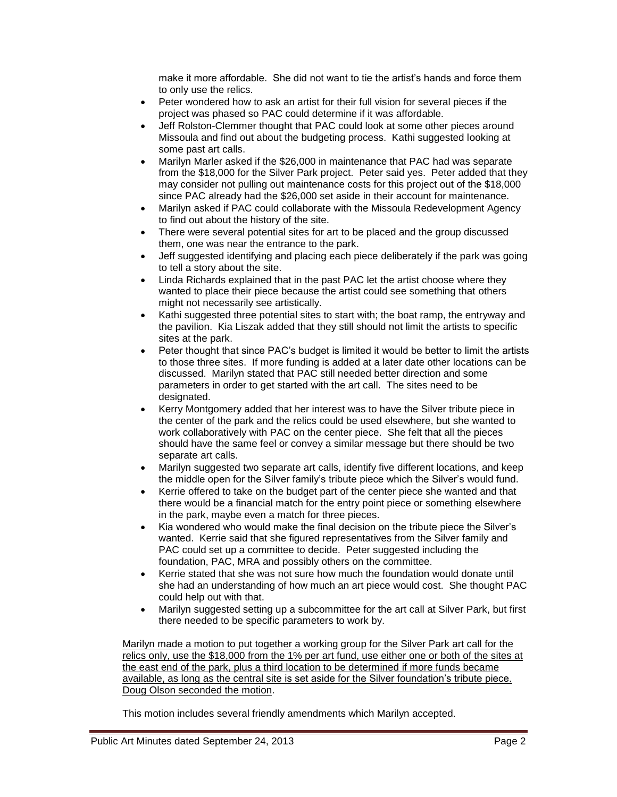make it more affordable. She did not want to tie the artist's hands and force them to only use the relics.

- Peter wondered how to ask an artist for their full vision for several pieces if the project was phased so PAC could determine if it was affordable.
- Jeff Rolston-Clemmer thought that PAC could look at some other pieces around Missoula and find out about the budgeting process. Kathi suggested looking at some past art calls.
- Marilyn Marler asked if the \$26,000 in maintenance that PAC had was separate from the \$18,000 for the Silver Park project. Peter said yes. Peter added that they may consider not pulling out maintenance costs for this project out of the \$18,000 since PAC already had the \$26,000 set aside in their account for maintenance.
- Marilyn asked if PAC could collaborate with the Missoula Redevelopment Agency to find out about the history of the site.
- There were several potential sites for art to be placed and the group discussed them, one was near the entrance to the park.
- Jeff suggested identifying and placing each piece deliberately if the park was going to tell a story about the site.
- Linda Richards explained that in the past PAC let the artist choose where they wanted to place their piece because the artist could see something that others might not necessarily see artistically.
- Kathi suggested three potential sites to start with; the boat ramp, the entryway and the pavilion. Kia Liszak added that they still should not limit the artists to specific sites at the park.
- Peter thought that since PAC's budget is limited it would be better to limit the artists to those three sites. If more funding is added at a later date other locations can be discussed. Marilyn stated that PAC still needed better direction and some parameters in order to get started with the art call. The sites need to be designated.
- Kerry Montgomery added that her interest was to have the Silver tribute piece in the center of the park and the relics could be used elsewhere, but she wanted to work collaboratively with PAC on the center piece. She felt that all the pieces should have the same feel or convey a similar message but there should be two separate art calls.
- Marilyn suggested two separate art calls, identify five different locations, and keep the middle open for the Silver family's tribute piece which the Silver's would fund.
- Kerrie offered to take on the budget part of the center piece she wanted and that there would be a financial match for the entry point piece or something elsewhere in the park, maybe even a match for three pieces.
- Kia wondered who would make the final decision on the tribute piece the Silver's wanted. Kerrie said that she figured representatives from the Silver family and PAC could set up a committee to decide. Peter suggested including the foundation, PAC, MRA and possibly others on the committee.
- Kerrie stated that she was not sure how much the foundation would donate until she had an understanding of how much an art piece would cost. She thought PAC could help out with that.
- Marilyn suggested setting up a subcommittee for the art call at Silver Park, but first there needed to be specific parameters to work by.

Marilyn made a motion to put together a working group for the Silver Park art call for the relics only, use the \$18,000 from the 1% per art fund, use either one or both of the sites at the east end of the park, plus a third location to be determined if more funds became available, as long as the central site is set aside for the Silver foundation's tribute piece. Doug Olson seconded the motion.

This motion includes several friendly amendments which Marilyn accepted.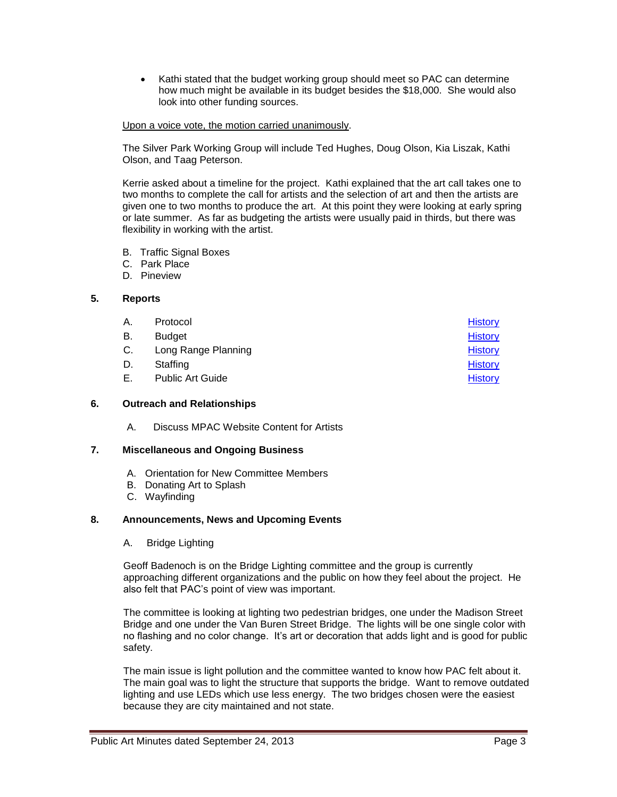• Kathi stated that the budget working group should meet so PAC can determine how much might be available in its budget besides the \$18,000. She would also look into other funding sources.

#### Upon a voice vote, the motion carried unanimously.

The Silver Park Working Group will include Ted Hughes, Doug Olson, Kia Liszak, Kathi Olson, and Taag Peterson.

Kerrie asked about a timeline for the project. Kathi explained that the art call takes one to two months to complete the call for artists and the selection of art and then the artists are given one to two months to produce the art. At this point they were looking at early spring or late summer. As far as budgeting the artists were usually paid in thirds, but there was flexibility in working with the artist.

- B. Traffic Signal Boxes
- C. Park Place
- D. Pineview

## **5. Reports**

| А. | Protocol                | <b>History</b> |
|----|-------------------------|----------------|
| В. | <b>Budget</b>           | <b>History</b> |
| C. | Long Range Planning     | <b>History</b> |
| D. | Staffing                | <b>History</b> |
| Е. | <b>Public Art Guide</b> | <b>History</b> |

#### **6. Outreach and Relationships**

A. Discuss MPAC Website Content for Artists

#### **7. Miscellaneous and Ongoing Business**

- A. Orientation for New Committee Members
- B. Donating Art to Splash
- C. Wayfinding

#### **8. Announcements, News and Upcoming Events**

A. Bridge Lighting

Geoff Badenoch is on the Bridge Lighting committee and the group is currently approaching different organizations and the public on how they feel about the project. He also felt that PAC's point of view was important.

The committee is looking at lighting two pedestrian bridges, one under the Madison Street Bridge and one under the Van Buren Street Bridge. The lights will be one single color with no flashing and no color change. It's art or decoration that adds light and is good for public safety.

The main issue is light pollution and the committee wanted to know how PAC felt about it. The main goal was to light the structure that supports the bridge. Want to remove outdated lighting and use LEDs which use less energy. The two bridges chosen were the easiest because they are city maintained and not state.